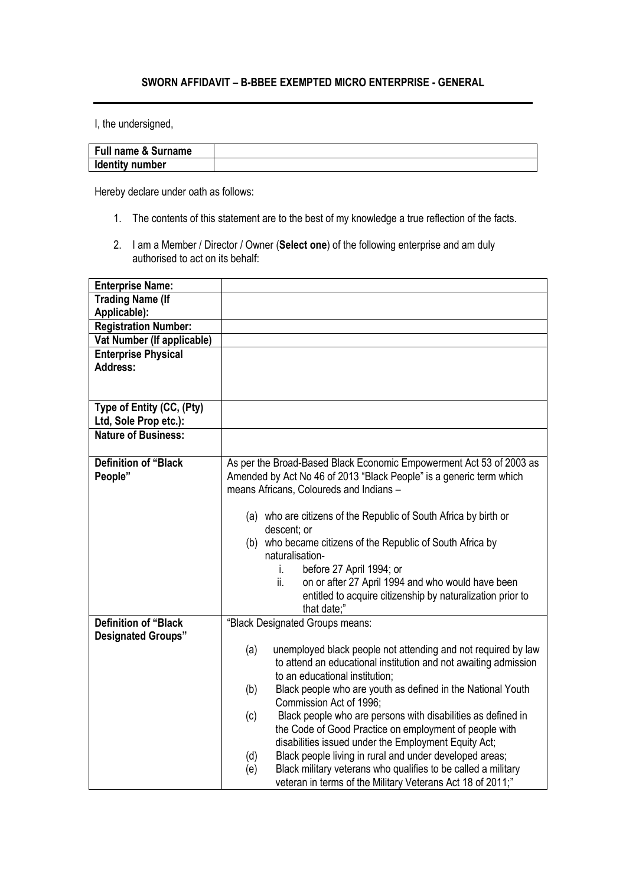## **SWORN AFFIDAVIT – B-BBEE EXEMPTED MICRO ENTERPRISE - GENERAL**

I, the undersigned,

| <b>Full name &amp; Surname</b> |  |
|--------------------------------|--|
| <b>Identity number</b>         |  |

Hereby declare under oath as follows:

- 1. The contents of this statement are to the best of my knowledge a true reflection of the facts.
- 2. I am a Member / Director / Owner (**Select one**) of the following enterprise and am duly authorised to act on its behalf:

| <b>Enterprise Name:</b>     |                                                                                 |
|-----------------------------|---------------------------------------------------------------------------------|
| <b>Trading Name (If</b>     |                                                                                 |
| Applicable):                |                                                                                 |
| <b>Registration Number:</b> |                                                                                 |
| Vat Number (If applicable)  |                                                                                 |
| <b>Enterprise Physical</b>  |                                                                                 |
| <b>Address:</b>             |                                                                                 |
|                             |                                                                                 |
|                             |                                                                                 |
| Type of Entity (CC, (Pty)   |                                                                                 |
| Ltd, Sole Prop etc.):       |                                                                                 |
| <b>Nature of Business:</b>  |                                                                                 |
|                             |                                                                                 |
| <b>Definition of "Black</b> | As per the Broad-Based Black Economic Empowerment Act 53 of 2003 as             |
| People"                     | Amended by Act No 46 of 2013 "Black People" is a generic term which             |
|                             | means Africans, Coloureds and Indians -                                         |
|                             |                                                                                 |
|                             | (a) who are citizens of the Republic of South Africa by birth or<br>descent; or |
|                             | (b) who became citizens of the Republic of South Africa by                      |
|                             | naturalisation-                                                                 |
|                             | before 27 April 1994; or<br>İ.                                                  |
|                             | on or after 27 April 1994 and who would have been<br>ii.                        |
|                             | entitled to acquire citizenship by naturalization prior to                      |
|                             | that date;"                                                                     |
| <b>Definition of "Black</b> | "Black Designated Groups means:                                                 |
| <b>Designated Groups"</b>   |                                                                                 |
|                             | (a)<br>unemployed black people not attending and not required by law            |
|                             | to attend an educational institution and not awaiting admission                 |
|                             | to an educational institution;                                                  |
|                             | Black people who are youth as defined in the National Youth<br>(b)              |
|                             | Commission Act of 1996;                                                         |
|                             | Black people who are persons with disabilities as defined in<br>(c)             |
|                             | the Code of Good Practice on employment of people with                          |
|                             | disabilities issued under the Employment Equity Act;                            |
|                             | Black people living in rural and under developed areas;<br>(d)                  |
|                             | Black military veterans who qualifies to be called a military<br>(e)            |
|                             | veteran in terms of the Military Veterans Act 18 of 2011;"                      |